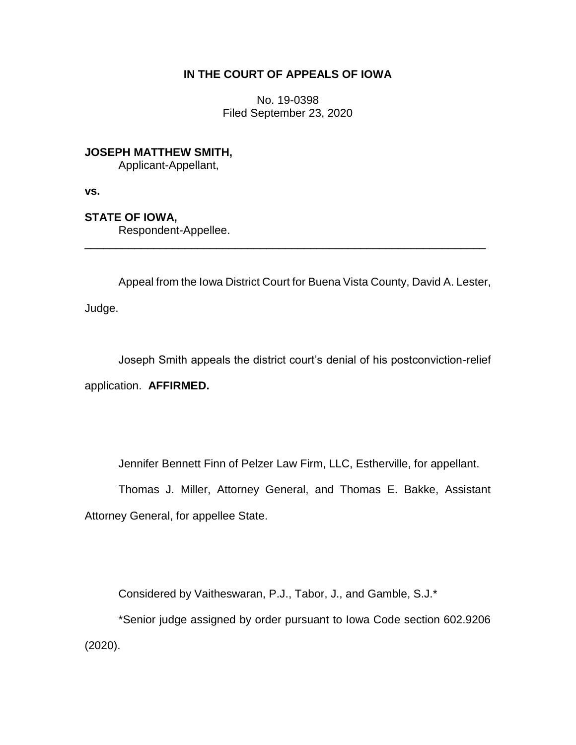# **IN THE COURT OF APPEALS OF IOWA**

No. 19-0398 Filed September 23, 2020

**JOSEPH MATTHEW SMITH,**

Applicant-Appellant,

**vs.**

**STATE OF IOWA,**

Respondent-Appellee.

Appeal from the Iowa District Court for Buena Vista County, David A. Lester, Judge.

\_\_\_\_\_\_\_\_\_\_\_\_\_\_\_\_\_\_\_\_\_\_\_\_\_\_\_\_\_\_\_\_\_\_\_\_\_\_\_\_\_\_\_\_\_\_\_\_\_\_\_\_\_\_\_\_\_\_\_\_\_\_\_\_

Joseph Smith appeals the district court's denial of his postconviction-relief application. **AFFIRMED.**

Jennifer Bennett Finn of Pelzer Law Firm, LLC, Estherville, for appellant.

Thomas J. Miller, Attorney General, and Thomas E. Bakke, Assistant Attorney General, for appellee State.

Considered by Vaitheswaran, P.J., Tabor, J., and Gamble, S.J.\*

\*Senior judge assigned by order pursuant to Iowa Code section 602.9206 (2020).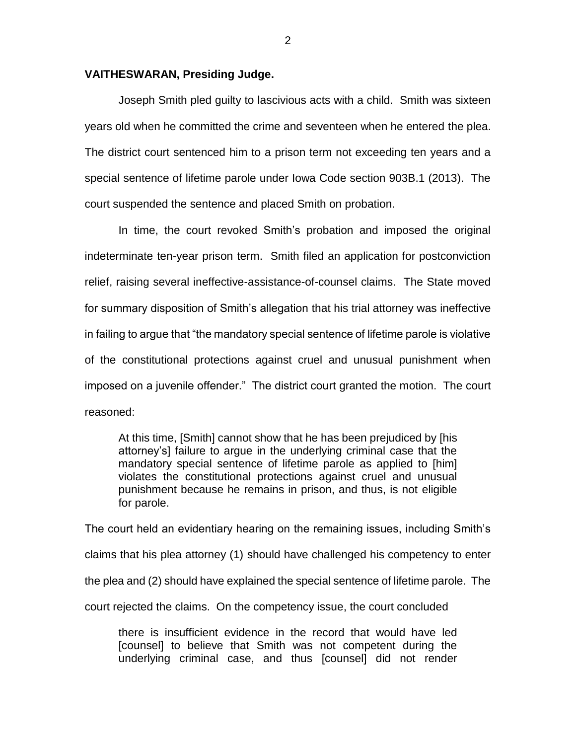#### **VAITHESWARAN, Presiding Judge.**

Joseph Smith pled guilty to lascivious acts with a child. Smith was sixteen years old when he committed the crime and seventeen when he entered the plea. The district court sentenced him to a prison term not exceeding ten years and a special sentence of lifetime parole under Iowa Code section 903B.1 (2013). The court suspended the sentence and placed Smith on probation.

In time, the court revoked Smith's probation and imposed the original indeterminate ten-year prison term. Smith filed an application for postconviction relief, raising several ineffective-assistance-of-counsel claims. The State moved for summary disposition of Smith's allegation that his trial attorney was ineffective in failing to argue that "the mandatory special sentence of lifetime parole is violative of the constitutional protections against cruel and unusual punishment when imposed on a juvenile offender." The district court granted the motion. The court reasoned:

At this time, [Smith] cannot show that he has been prejudiced by [his attorney's] failure to argue in the underlying criminal case that the mandatory special sentence of lifetime parole as applied to [him] violates the constitutional protections against cruel and unusual punishment because he remains in prison, and thus, is not eligible for parole.

The court held an evidentiary hearing on the remaining issues, including Smith's claims that his plea attorney (1) should have challenged his competency to enter the plea and (2) should have explained the special sentence of lifetime parole. The court rejected the claims. On the competency issue, the court concluded

there is insufficient evidence in the record that would have led [counsel] to believe that Smith was not competent during the underlying criminal case, and thus [counsel] did not render

2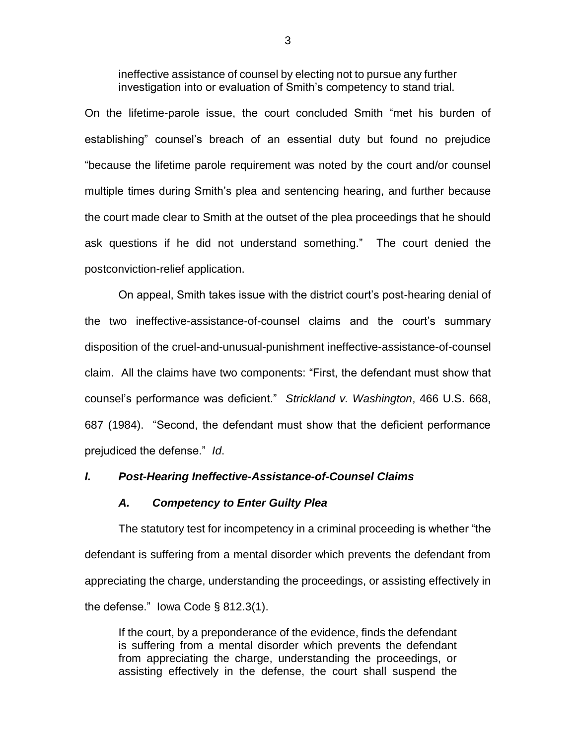ineffective assistance of counsel by electing not to pursue any further investigation into or evaluation of Smith's competency to stand trial.

On the lifetime-parole issue, the court concluded Smith "met his burden of establishing" counsel's breach of an essential duty but found no prejudice "because the lifetime parole requirement was noted by the court and/or counsel multiple times during Smith's plea and sentencing hearing, and further because the court made clear to Smith at the outset of the plea proceedings that he should ask questions if he did not understand something." The court denied the postconviction-relief application.

On appeal, Smith takes issue with the district court's post-hearing denial of the two ineffective-assistance-of-counsel claims and the court's summary disposition of the cruel-and-unusual-punishment ineffective-assistance-of-counsel claim. All the claims have two components: "First, the defendant must show that counsel's performance was deficient." *Strickland v. Washington*, 466 U.S. 668, 687 (1984). "Second, the defendant must show that the deficient performance prejudiced the defense." *Id*.

## *I. Post-Hearing Ineffective-Assistance-of-Counsel Claims*

## *A. Competency to Enter Guilty Plea*

The statutory test for incompetency in a criminal proceeding is whether "the defendant is suffering from a mental disorder which prevents the defendant from appreciating the charge, understanding the proceedings, or assisting effectively in the defense." Iowa Code § 812.3(1).

If the court, by a preponderance of the evidence, finds the defendant is suffering from a mental disorder which prevents the defendant from appreciating the charge, understanding the proceedings, or assisting effectively in the defense, the court shall suspend the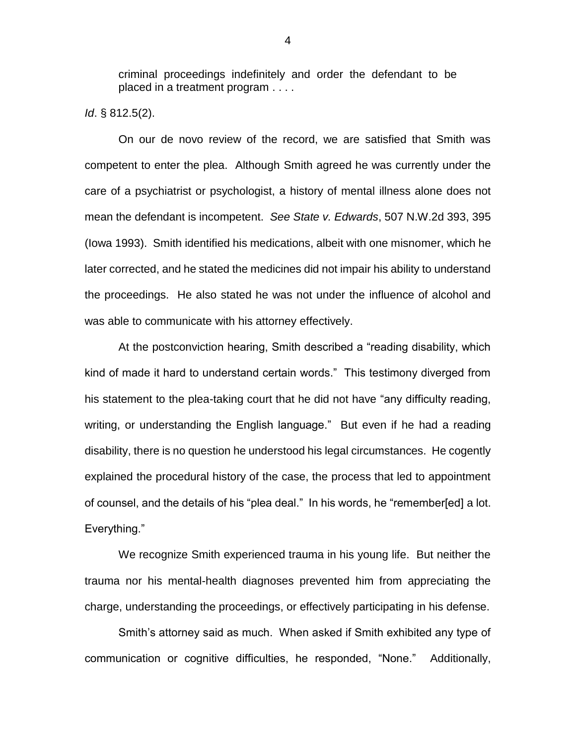criminal proceedings indefinitely and order the defendant to be placed in a treatment program . . . .

*Id*. § 812.5(2).

On our de novo review of the record, we are satisfied that Smith was competent to enter the plea. Although Smith agreed he was currently under the care of a psychiatrist or psychologist, a history of mental illness alone does not mean the defendant is incompetent. *See State v. Edwards*, 507 N.W.2d 393, 395 (Iowa 1993). Smith identified his medications, albeit with one misnomer, which he later corrected, and he stated the medicines did not impair his ability to understand the proceedings. He also stated he was not under the influence of alcohol and was able to communicate with his attorney effectively.

At the postconviction hearing, Smith described a "reading disability, which kind of made it hard to understand certain words." This testimony diverged from his statement to the plea-taking court that he did not have "any difficulty reading, writing, or understanding the English language." But even if he had a reading disability, there is no question he understood his legal circumstances. He cogently explained the procedural history of the case, the process that led to appointment of counsel, and the details of his "plea deal." In his words, he "remember[ed] a lot. Everything."

We recognize Smith experienced trauma in his young life. But neither the trauma nor his mental-health diagnoses prevented him from appreciating the charge, understanding the proceedings, or effectively participating in his defense.

Smith's attorney said as much. When asked if Smith exhibited any type of communication or cognitive difficulties, he responded, "None." Additionally,

4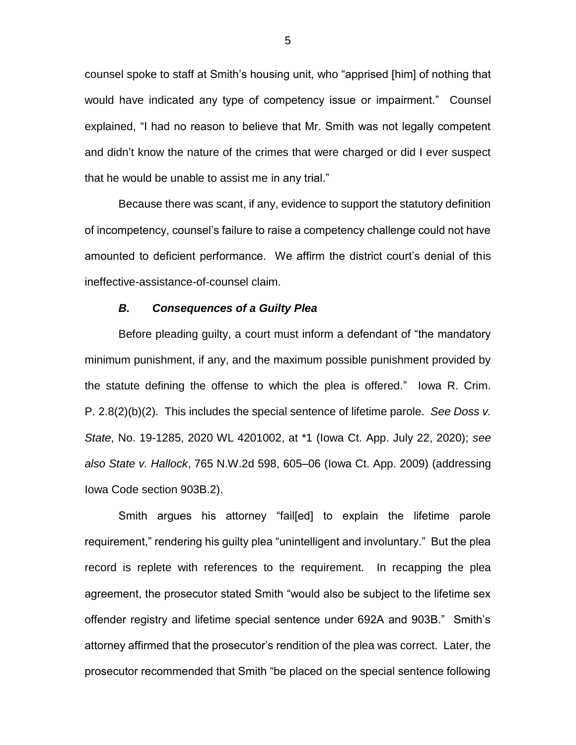counsel spoke to staff at Smith's housing unit, who "apprised [him] of nothing that would have indicated any type of competency issue or impairment." Counsel explained, "I had no reason to believe that Mr. Smith was not legally competent and didn't know the nature of the crimes that were charged or did I ever suspect that he would be unable to assist me in any trial."

Because there was scant, if any, evidence to support the statutory definition of incompetency, counsel's failure to raise a competency challenge could not have amounted to deficient performance. We affirm the district court's denial of this ineffective-assistance-of-counsel claim.

#### *B. Consequences of a Guilty Plea*

Before pleading guilty, a court must inform a defendant of "the mandatory minimum punishment, if any, and the maximum possible punishment provided by the statute defining the offense to which the plea is offered." Iowa R. Crim. P. 2.8(2)(b)(2). This includes the special sentence of lifetime parole. *See Doss v. State*, No. 19-1285, 2020 WL 4201002, at \*1 (Iowa Ct. App. July 22, 2020); *see also State v. Hallock*, 765 N.W.2d 598, 605–06 (Iowa Ct. App. 2009) (addressing Iowa Code section 903B.2).

Smith argues his attorney "fail[ed] to explain the lifetime parole requirement," rendering his guilty plea "unintelligent and involuntary." But the plea record is replete with references to the requirement. In recapping the plea agreement, the prosecutor stated Smith "would also be subject to the lifetime sex offender registry and lifetime special sentence under 692A and 903B." Smith's attorney affirmed that the prosecutor's rendition of the plea was correct. Later, the prosecutor recommended that Smith "be placed on the special sentence following

5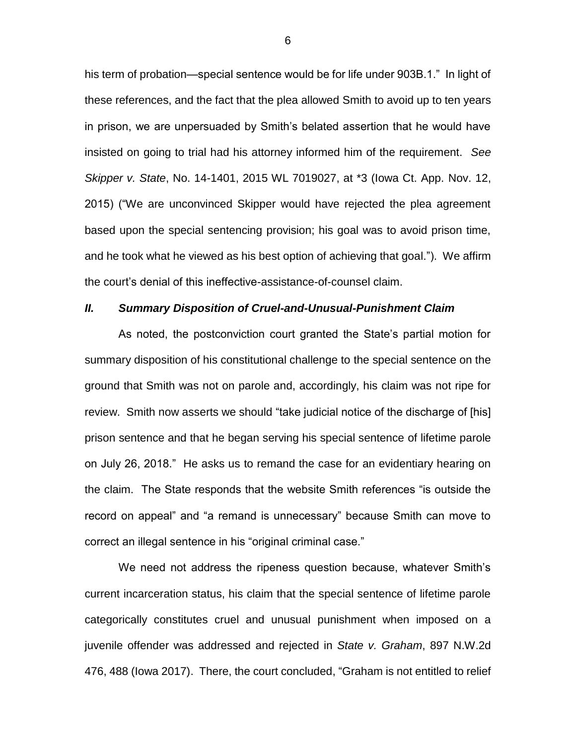his term of probation—special sentence would be for life under 903B.1." In light of these references, and the fact that the plea allowed Smith to avoid up to ten years in prison, we are unpersuaded by Smith's belated assertion that he would have insisted on going to trial had his attorney informed him of the requirement. *See Skipper v. State*, No. 14-1401, 2015 WL 7019027, at \*3 (Iowa Ct. App. Nov. 12, 2015) ("We are unconvinced Skipper would have rejected the plea agreement based upon the special sentencing provision; his goal was to avoid prison time, and he took what he viewed as his best option of achieving that goal."). We affirm the court's denial of this ineffective-assistance-of-counsel claim.

#### *II. Summary Disposition of Cruel-and-Unusual-Punishment Claim*

As noted, the postconviction court granted the State's partial motion for summary disposition of his constitutional challenge to the special sentence on the ground that Smith was not on parole and, accordingly, his claim was not ripe for review. Smith now asserts we should "take judicial notice of the discharge of [his] prison sentence and that he began serving his special sentence of lifetime parole on July 26, 2018." He asks us to remand the case for an evidentiary hearing on the claim. The State responds that the website Smith references "is outside the record on appeal" and "a remand is unnecessary" because Smith can move to correct an illegal sentence in his "original criminal case."

We need not address the ripeness question because, whatever Smith's current incarceration status, his claim that the special sentence of lifetime parole categorically constitutes cruel and unusual punishment when imposed on a juvenile offender was addressed and rejected in *State v. Graham*, 897 N.W.2d 476, 488 (Iowa 2017). There, the court concluded, "Graham is not entitled to relief